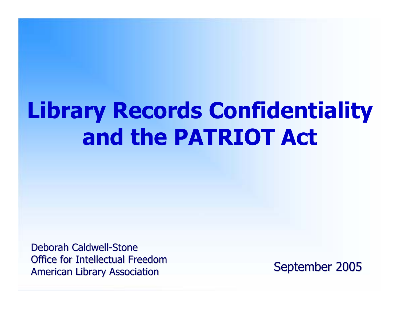# **Library Records Confidentiality and the PATRIOT Act**

Deborah Caldwell-Stone Office for Intellectual Freedom American Library Association Channel September 2005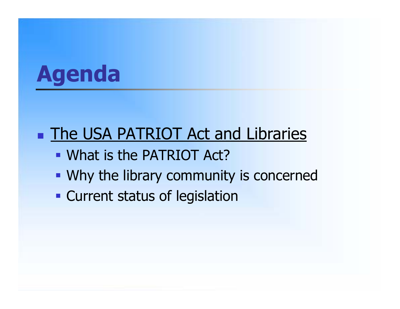# **Agenda**

## **The USA PATRIOT Act and Libraries**

- What is the PATRIOT Act?
- Why the library community is concerned
- **Current status of legislation**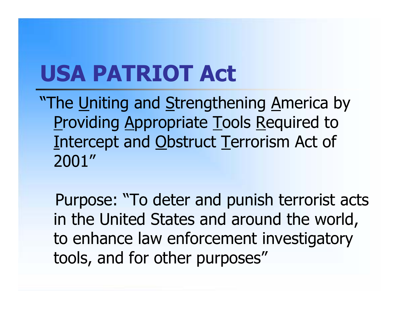# **USA PATRIOT Act**

**"The Uniting and Strengthening America by Providing Appropriate Tools Required to** Intercept and Obstruct Terrorism Act of 2001"

Purpose: "To deter and punish terrorist acts in the United States and around the world, to enhance law enforcement investigatory tools, and for other purposes"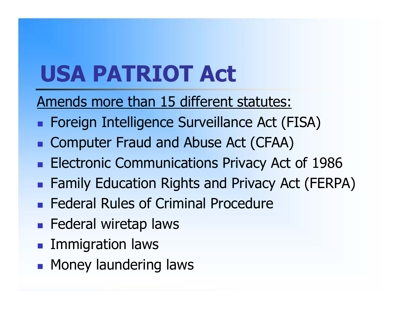# **USA PATRIOT Act**

Amends more than 15 different statutes:

- **Foreign Intelligence Surveillance Act (FISA)**
- **Computer Fraud and Abuse Act (CFAA)**
- **Electronic Communications Privacy Act of 1986**
- **Examily Education Rights and Privacy Act (FERPA)**
- **Federal Rules of Criminal Procedure**
- **Federal wiretap laws**
- **Immigration laws**
- **Money laundering laws**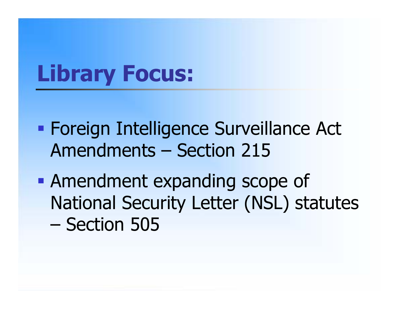# **Library Focus:**

- **Foreign Intelligence Surveillance Act** Amendments – Section 215
- **Amendment expanding scope of** National Security Letter (NSL) statutes –Section 505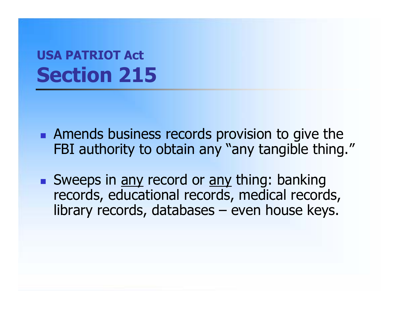- **Amends business records provision to give the** FBI authority to obtain any "any tangible thing."
- Sweeps in <u>any</u> record or any thing: banking records, educational records, medical records, library records, databases – even house keys.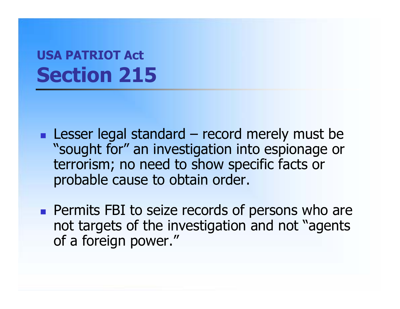- **Lesser legal standard record merely must be** "sought for" an investigation into espionage or terrorism; no need to show specific facts or probable cause to obtain order.
- **Permits FBI to seize records of persons who are** not targets of the investigation and not "agents of a foreign power."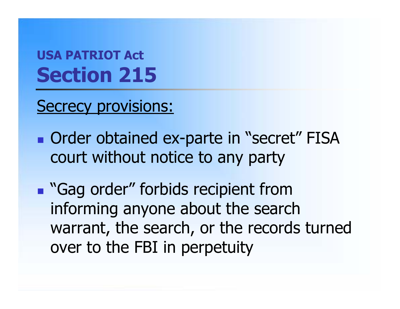Secrecy provisions:

**• Order obtained ex-parte in "secret" FISA** court without notice to any party

**Gag order" forbids recipient from** informing anyone about the search warrant, the search, or the records turned over to the FBI in perpetuity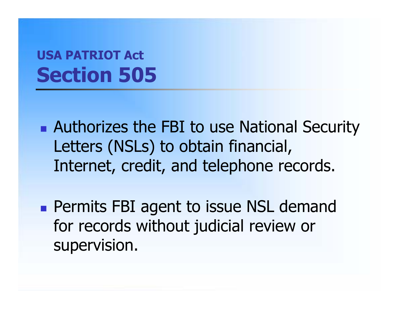- **Authorizes the FBI to use National Security** Letters (NSLs) to obtain financial, Internet, credit, and telephone records.
- **Permits FBI agent to issue NSL demand** for records without judicial review or supervision.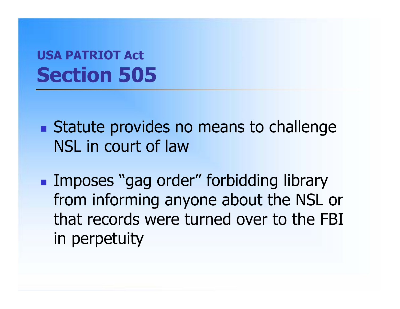- **Statute provides no means to challenge** NSL in court of law
- **Imposes "gag order" forbidding library** from informing anyone about the NSL or that records were turned over to the FBI in perpetuity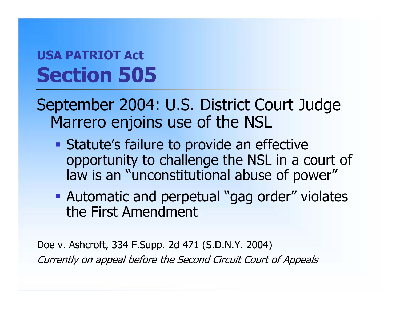September 2004: U.S. District Court Judge Marrero enjoins use of the NSL

- **Statute's failure to provide an effective** opportunity to challenge the NSL in a court of law is an "unconstitutional abuse of power"
- **Automatic and perpetual "gag order" violates** the First Amendment

Doe v. Ashcroft, 334 F.Supp. 2d 471 (S.D.N.Y. 2004) Currently on appeal before the Second Circuit Court of Appeals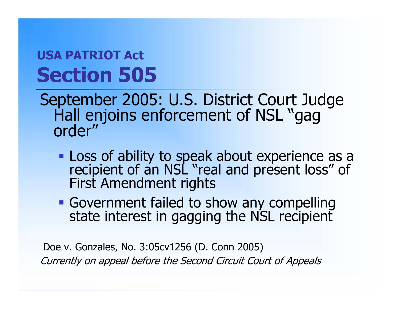September 2005: U.S. District Court Judge<br>Hall enjoins enforcement of NSL "gag<br>order"

- Loss of ability to speak about experience as a Loss of ability to speak about experience as a recipient of an NSL "real and present loss" of First Amendment rights
- Government failed to show any compelling state interest in gagging the NSL recipient

Doe v. Gonzales, No. 3:05cv1256 (D. Conn 2005) Currently on appeal before the Second Circuit Court of Appeals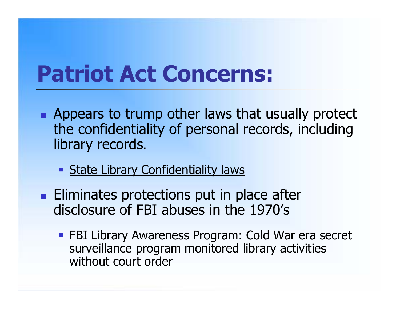# **Patriot Act Concerns:**

- **Appears to trump other laws that usually protect** the confidentiality of personal records, including library records.
	- **State Library Confidentiality laws**
- **Eliminates protections put in place after** disclosure of FBI abuses in the 1970's
	- **FBI Library Awareness Program: Cold War era secret** surveillance program monitored library activities without court order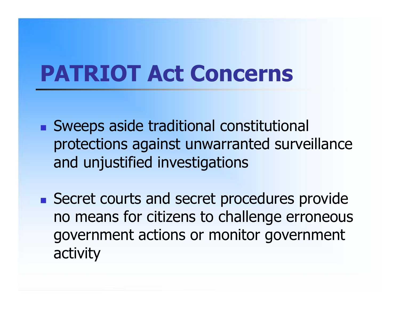# **PATRIOT Act Concerns**

- Sweeps aside traditional constitutional protections against unwarranted surveillance and unjustified investigations
- **Secret courts and secret procedures provide** no means for citizens to challenge erroneous government actions or monitor government activity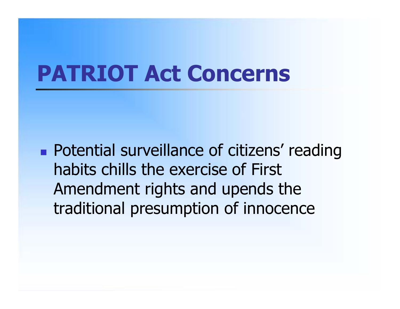## **PATRIOT Act Concerns**

**Potential surveillance of citizens' reading** habits chills the exercise of First Amendment rights and upends the traditional presumption of innocence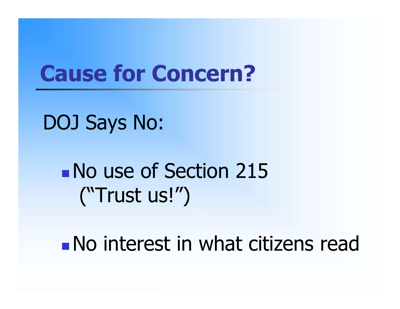## **Cause for Concern?**

DOJ Says No:

**No use of Section 215** ("Trust us!")

No interest in what citizens read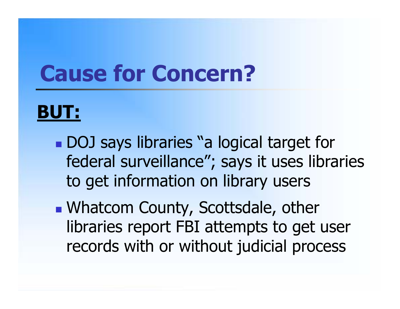# **Cause for Concern?**

## **BUT:**

- **DOJ** says libraries "a logical target for federal surveillance"; says it uses libraries to get information on library users
- **Nhatcom County, Scottsdale, other** libraries report FBI attempts to get user records with or without judicial process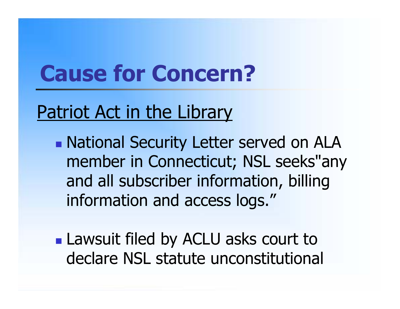# **Cause for Concern?**

## Patriot Act in the Library

**• National Security Letter served on ALA** member in Connecticut; NSL seeks"any and all subscriber information, billing information and access logs."

**Lawsuit filed by ACLU asks court to** declare NSL statute unconstitutional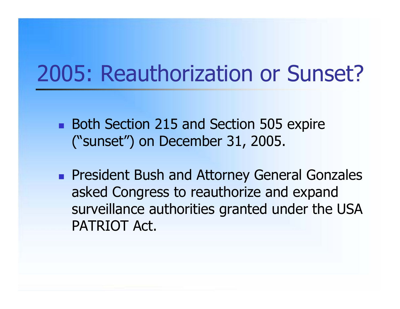## 2005: Reauthorization or Sunset?

- **Both Section 215 and Section 505 expire** ("sunset") on December 31, 2005.
- **President Bush and Attorney General Gonzales** asked Congress to reauthorize and expand surveillance authorities granted under the USA PATRIOT Act.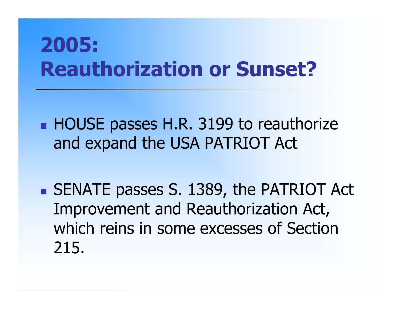# **2005: Reauthorization or Sunset?**

**HOUSE passes H.R. 3199 to reauthorize** and expand the USA PATRIOT Act

**SENATE passes S. 1389, the PATRIOT Act** Improvement and Reauthorization Act, which reins in some excesses of Section 215.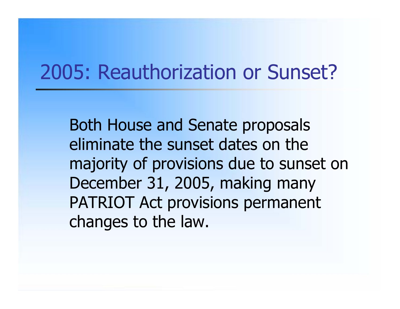## 2005: Reauthorization or Sunset?

Both House and Senate proposals eliminate the sunset dates on the majority of provisions due to sunset on December 31, 2005, making many PATRIOT Act provisions permanent changes to the law.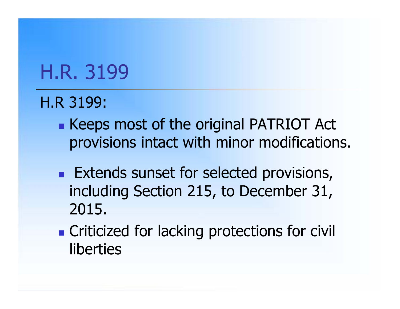## H.R. 3199

#### H.R 3199:

- **Keeps most of the original PATRIOT Act** provisions intact with minor modifications.
- **Extends sunset for selected provisions,** including Section 215, to December 31, 2015.
- **Exercise Criticized for lacking protections for civil** liberties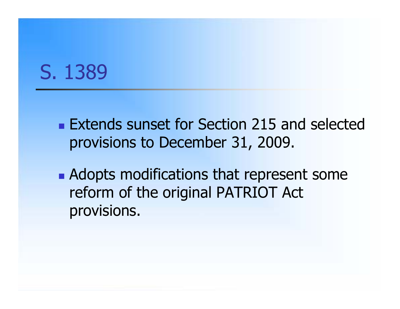## S. 1389

- **Extends sunset for Section 215 and selected** provisions to December 31, 2009.
- **Adopts modifications that represent some** reform of the original PATRIOT Act provisions.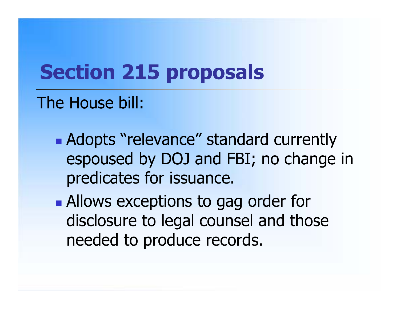# **Section 215 proposals**

## The House bill:

- **Adopts "relevance" standard currently** espoused by DOJ and FBI; no change in predicates for issuance.
- **Allows exceptions to gag order for** disclosure to legal counsel and those needed to produce records.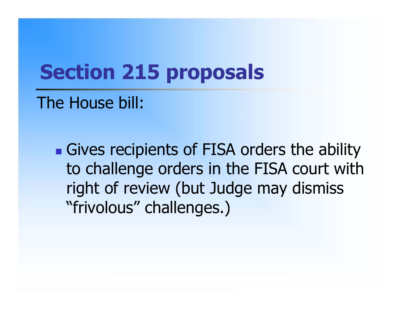## **Section 215 proposals**

### The House bill:

**Gives recipients of FISA orders the ability** to challenge orders in the FISA court with right of review (but Judge may dismiss "frivolous" challenges.)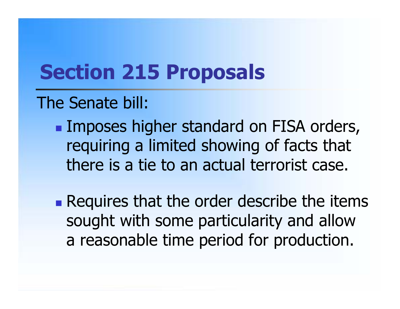### The Senate bill:

**Imposes higher standard on FISA orders,** requiring a limited showing of facts that there is a tie to an actual terrorist case.

**Requires that the order describe the items** sought with some particularity and allow a reasonable time period for production.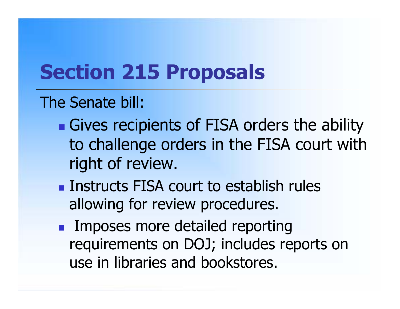#### The Senate bill:

- **Gives recipients of FISA orders the ability** to challenge orders in the FISA court with right of review.
- **Instructs FISA court to establish rules** allowing for review procedures.
- **Imposes more detailed reporting** requirements on DOJ; includes reports on use in libraries and bookstores.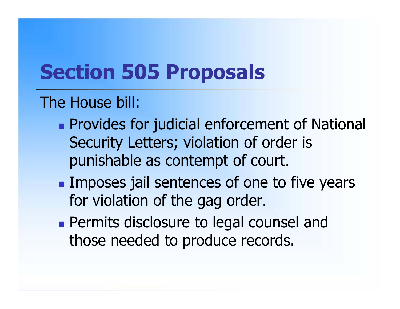#### The House bill:

- **Provides for judicial enforcement of National** Security Letters; violation of order is punishable as contempt of court.
- **Imposes jail sentences of one to five years** for violation of the gag order.
- **Permits disclosure to legal counsel and** those needed to produce records.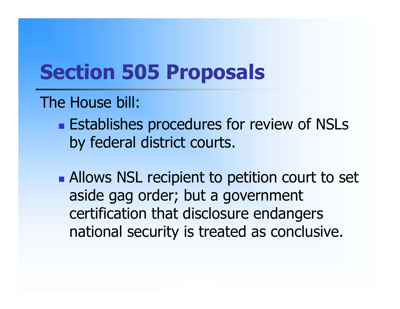#### The House bill:

- **Establishes procedures for review of NSLs** by federal district courts.
- **Allows NSL recipient to petition court to set** aside gag order; but a government certification that disclosure endangers national security is treated as conclusive.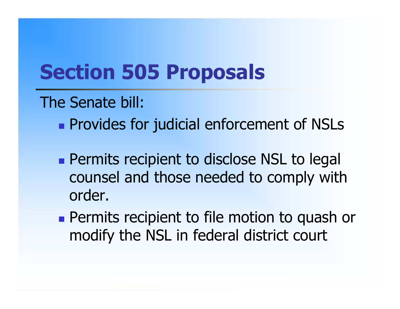#### The Senate bill:

- **Provides for judicial enforcement of NSLs**
- **Permits recipient to disclose NSL to legal** counsel and those needed to comply with order.
- **Permits recipient to file motion to quash or** modify the NSL in federal district court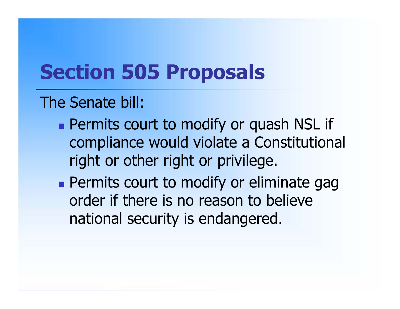#### The Senate bill:

- **Permits court to modify or quash NSL if** compliance would violate a Constitutional right or other right or privilege.
- **Permits court to modify or eliminate gagety** order if there is no reason to believe national security is endangered.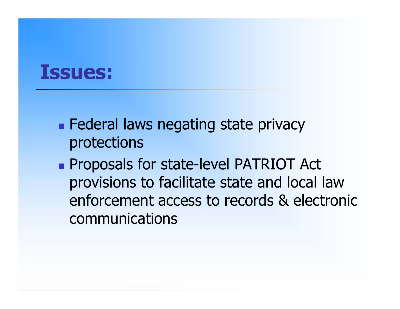## **Issues:**

- **Federal laws negating state privacy** protections
- **Proposals for state-level PATRIOT Act** provisions to facilitate state and local law enforcement access to records & electronic communications